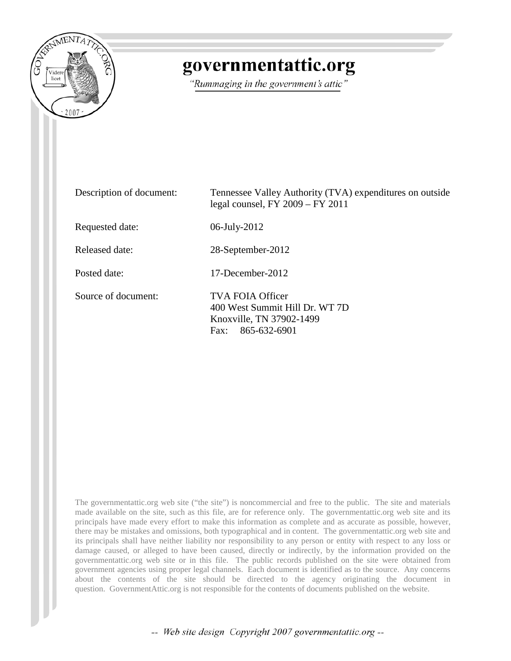

## governmentattic.org

"Rummaging in the government's attic"

| Description of document: | Tennessee Valley Authority (TVA) expenditures on outside<br>legal counsel, $FY$ 2009 – $FY$ 2011       |
|--------------------------|--------------------------------------------------------------------------------------------------------|
| Requested date:          | 06-July-2012                                                                                           |
| Released date:           | 28-September-2012                                                                                      |
| Posted date:             | $17$ -December-2012                                                                                    |
| Source of document:      | TVA FOIA Officer<br>400 West Summit Hill Dr. WT 7D<br>Knoxville, TN 37902-1499<br>865-632-6901<br>Fax: |

The governmentattic.org web site ("the site") is noncommercial and free to the public. The site and materials made available on the site, such as this file, are for reference only. The governmentattic.org web site and its principals have made every effort to make this information as complete and as accurate as possible, however, there may be mistakes and omissions, both typographical and in content. The governmentattic.org web site and its principals shall have neither liability nor responsibility to any person or entity with respect to any loss or damage caused, or alleged to have been caused, directly or indirectly, by the information provided on the governmentattic.org web site or in this file. The public records published on the site were obtained from government agencies using proper legal channels. Each document is identified as to the source. Any concerns about the contents of the site should be directed to the agency originating the document in question. GovernmentAttic.org is not responsible for the contents of documents published on the website.

-- Web site design Copyright 2007 governmentattic.org --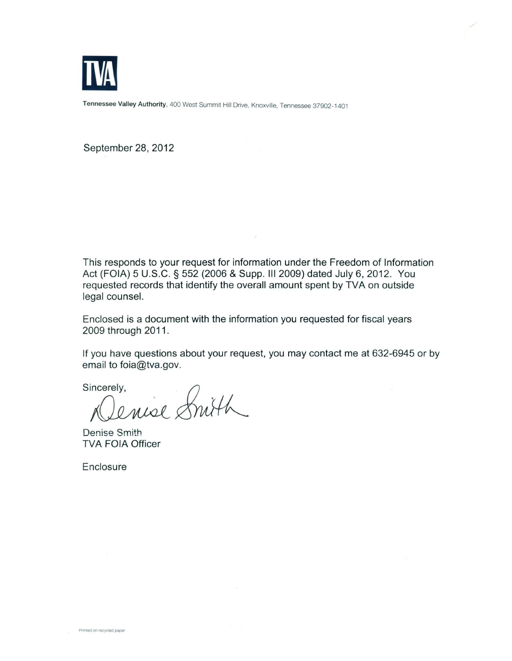

Tennessee Valley Authority, 400 West Summit Hill Drive, Knoxville, Tennessee 37902-1401

September 28, 2012

This responds to your request for information under the Freedom of Information Act (FOIA) 5 U.S.C. § 552 (2006 & Supp. Ill 2009) dated July 6, 2012. You requested records that identify the overall amount spent by TVA on outside legal counsel.

Enclosed is a document with the information you requested for fiscal years 2009 through 2011.

If you have questions about your request, you may contact me at 632-6945 or by email to foia@tva.gov.

sincerely.<br>Denise Snith

Denise Smith TVA FOIA Officer

**Enclosure**